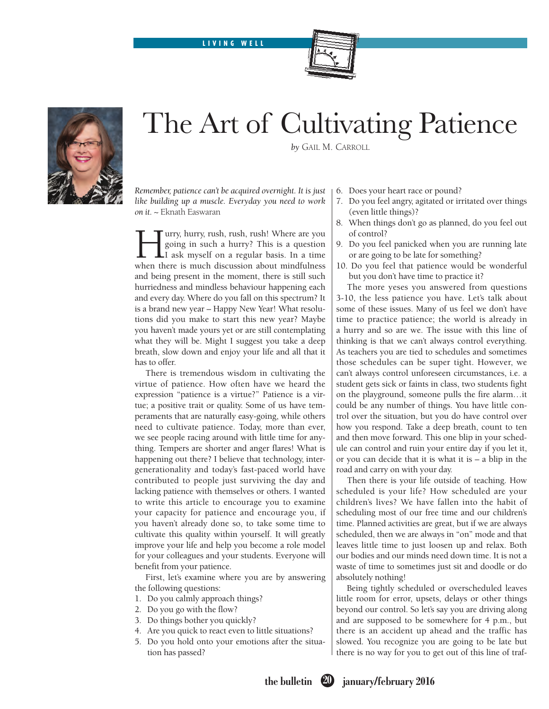LIVING WELL





## The Art of Cultivating Patience

*by* Gail M. Carroll

*Remember, patience can't be acquired overnight. It is just like building up a muscle. Everyday you need to work on it.* ~ Eknath Easwaran

Furry, hurry, rush, rush, rush! Where are you<br>going in such a hurry? This is a question<br>I ask myself on a regular basis. In a time<br>when there is much discussion about mindfulness going in such a hurry? This is a question I ask myself on a regular basis. In a time when there is much discussion about mindfulness and being present in the moment, there is still such hurriedness and mindless behaviour happening each and every day. Where do you fall on this spectrum? It is a brand new year – Happy New Year! What resolutions did you make to start this new year? Maybe you haven't made yours yet or are still contemplating what they will be. Might I suggest you take a deep breath, slow down and enjoy your life and all that it has to offer.

There is tremendous wisdom in cultivating the virtue of patience. How often have we heard the expression "patience is a virtue?" Patience is a virtue; a positive trait or quality. Some of us have temperaments that are naturally easy-going, while others need to cultivate patience. Today, more than ever, we see people racing around with little time for anything. Tempers are shorter and anger flares! What is happening out there? I believe that technology, intergenerationality and today's fast-paced world have contributed to people just surviving the day and lacking patience with themselves or others. I wanted to write this article to encourage you to examine your capacity for patience and encourage you, if you haven't already done so, to take some time to cultivate this quality within yourself. It will greatly improve your life and help you become a role model for your colleagues and your students. Everyone will benefit from your patience.

First, let's examine where you are by answering the following questions:

- 1. Do you calmly approach things?
- 2. Do you go with the flow?
- 3. Do things bother you quickly?
- 4. Are you quick to react even to little situations?
- 5. Do you hold onto your emotions after the situation has passed?
- 6. Does your heart race or pound?
- 7. Do you feel angry, agitated or irritated over things (even little things)?
- 8. When things don't go as planned, do you feel out of control?
- 9. Do you feel panicked when you are running late or are going to be late for something?
- 10. Do you feel that patience would be wonderful but you don't have time to practice it?

The more yeses you answered from questions 3-10, the less patience you have. Let's talk about some of these issues. Many of us feel we don't have time to practice patience; the world is already in a hurry and so are we. The issue with this line of thinking is that we can't always control everything. As teachers you are tied to schedules and sometimes those schedules can be super tight. However, we can't always control unforeseen circumstances, i.e. a student gets sick or faints in class, two students fight on the playground, someone pulls the fire alarm…it could be any number of things. You have little control over the situation, but you do have control over how you respond. Take a deep breath, count to ten and then move forward. This one blip in your schedule can control and ruin your entire day if you let it, or you can decide that it is what it is – a blip in the road and carry on with your day.

Then there is your life outside of teaching. How scheduled is your life? How scheduled are your children's lives? We have fallen into the habit of scheduling most of our free time and our children's time. Planned activities are great, but if we are always scheduled, then we are always in "on" mode and that leaves little time to just loosen up and relax. Both our bodies and our minds need down time. It is not a waste of time to sometimes just sit and doodle or do absolutely nothing!

Being tightly scheduled or overscheduled leaves little room for error, upsets, delays or other things beyond our control. So let's say you are driving along and are supposed to be somewhere for 4 p.m., but there is an accident up ahead and the traffic has slowed. You recognize you are going to be late but there is no way for you to get out of this line of traf-